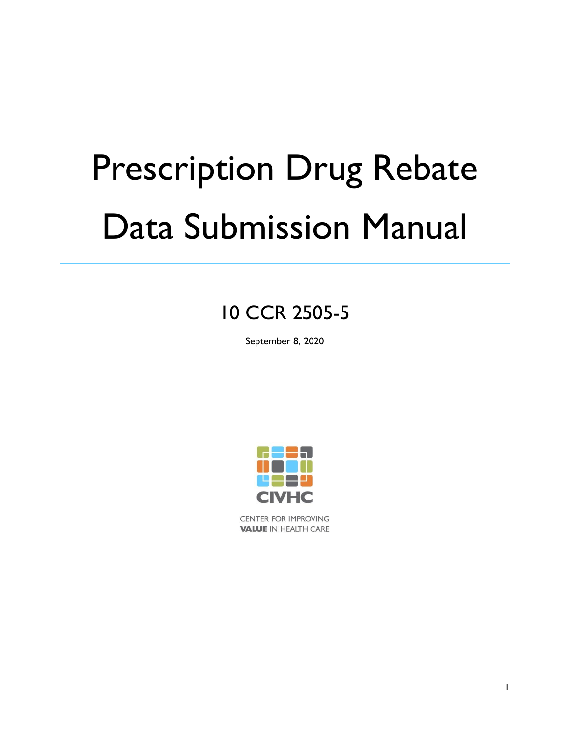# Prescription Drug Rebate Data Submission Manual

## 10 CCR 2505-5

September 8, 2020



CENTER FOR IMPROVING **VALUE IN HEALTH CARE**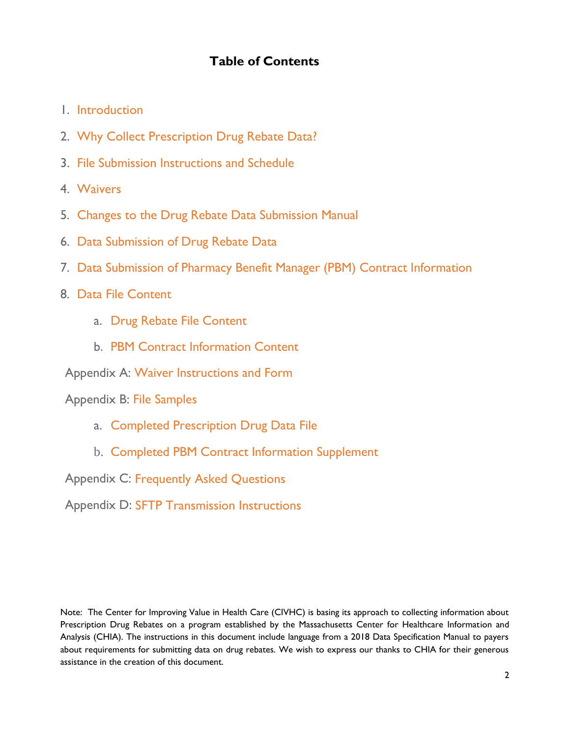## **Table of Contents**

- 1. Introduction
- 2. Why Collect Prescription Drug Rebate Data?
- 3. File Submission Instructions and Schedule
- 4. Waivers
- 5. Changes to the Drug Rebate Data Submission Manual
- 6. Data Submission of Drug Rebate Data
- 7. Data Submission of Pharmacy Benefit Manager (PBM) Contract Information
- 8. Data File Content
	- a. Drug Rebate File Content
	- b. PBM Contract Information Content

Appendix A: Waiver Instructions and Form

Appendix B: File Samples

- a. Completed Prescription Drug Data File
- b. Completed PBM Contract Information Supplement

Appendix C: Frequently Asked Questions

Appendix D: SFTP Transmission Instructions

Note: The Center for Improving Value in Health Care (CIVHC) is basing its approach to collecting information about Prescription Drug Rebates on a program established by the Massachusetts Center for Healthcare Information and Analysis (CHIA). The instructions in this document include language from a 2018 Data Specification Manual to payers about requirements for submitting data on drug rebates. We wish to express our thanks to CHIA for their generous assistance in the creation of this document.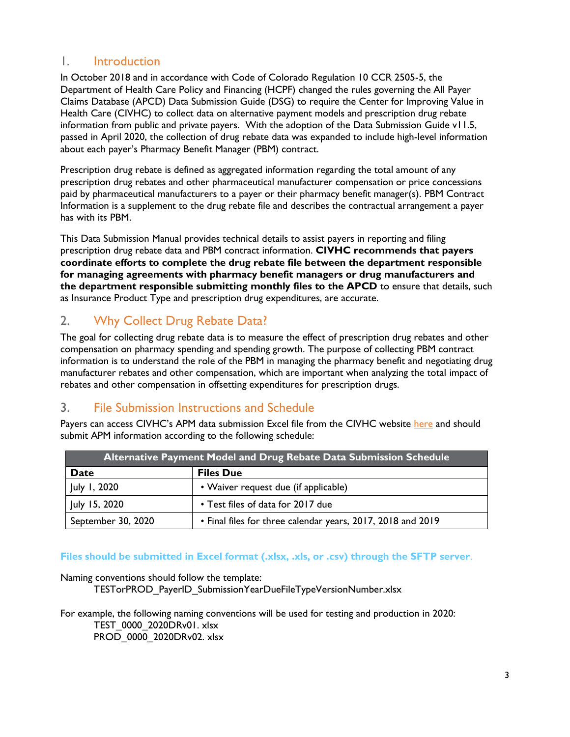## 1. Introduction

In October 2018 and in accordance with Code of Colorado Regulation 10 CCR 2505-5, the Department of Health Care Policy and Financing (HCPF) changed the rules governing the All Payer Claims Database (APCD) Data Submission Guide (DSG) to require the Center for Improving Value in Health Care (CIVHC) to collect data on alternative payment models and prescription drug rebate information from public and private payers. With the adoption of the Data Submission Guide v11.5, passed in April 2020, the collection of drug rebate data was expanded to include high-level information about each payer's Pharmacy Benefit Manager (PBM) contract.

Prescription drug rebate is defined as aggregated information regarding the total amount of any prescription drug rebates and other pharmaceutical manufacturer compensation or price concessions paid by pharmaceutical manufacturers to a payer or their pharmacy benefit manager(s). PBM Contract Information is a supplement to the drug rebate file and describes the contractual arrangement a payer has with its PBM.

This Data Submission Manual provides technical details to assist payers in reporting and filing prescription drug rebate data and PBM contract information. **CIVHC recommends that payers coordinate efforts to complete the drug rebate file between the department responsible for managing agreements with pharmacy benefit managers or drug manufacturers and the department responsible submitting monthly files to the APCD** to ensure that details, such as Insurance Product Type and prescription drug expenditures, are accurate.

## 2. Why Collect Drug Rebate Data?

The goal for collecting drug rebate data is to measure the effect of prescription drug rebates and other compensation on pharmacy spending and spending growth. The purpose of collecting PBM contract information is to understand the role of the PBM in managing the pharmacy benefit and negotiating drug manufacturer rebates and other compensation, which are important when analyzing the total impact of rebates and other compensation in offsetting expenditures for prescription drugs.

## 3. File Submission Instructions and Schedule

Payers can access CIVHC's APM data submission Excel file from the CIVHC website [here](https://www.civhc.org/get-data/co-apcd-overview/data-submission/) and should submit APM information according to the following schedule:

| Alternative Payment Model and Drug Rebate Data Submission Schedule |                                                             |  |  |  |
|--------------------------------------------------------------------|-------------------------------------------------------------|--|--|--|
| Date                                                               | <b>Files Due</b>                                            |  |  |  |
| July 1, 2020                                                       | • Waiver request due (if applicable)                        |  |  |  |
| July 15, 2020                                                      | • Test files of data for 2017 due                           |  |  |  |
| September 30, 2020                                                 | • Final files for three calendar years, 2017, 2018 and 2019 |  |  |  |

**Files should be submitted in Excel format (.xlsx, .xls, or .csv) through the SFTP server**.

Naming conventions should follow the template:

TESTorPROD\_PayerID\_SubmissionYearDueFileTypeVersionNumber.xlsx

For example, the following naming conventions will be used for testing and production in 2020: TEST\_0000\_2020DRv01. xlsx PROD\_0000\_2020DRv02. xlsx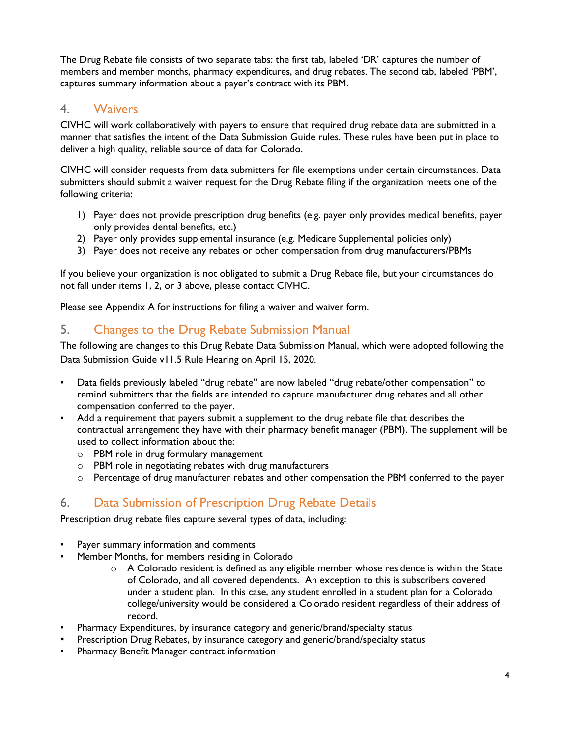The Drug Rebate file consists of two separate tabs: the first tab, labeled 'DR' captures the number of members and member months, pharmacy expenditures, and drug rebates. The second tab, labeled 'PBM', captures summary information about a payer's contract with its PBM.

### 4. Waivers

CIVHC will work collaboratively with payers to ensure that required drug rebate data are submitted in a manner that satisfies the intent of the Data Submission Guide rules. These rules have been put in place to deliver a high quality, reliable source of data for Colorado.

CIVHC will consider requests from data submitters for file exemptions under certain circumstances. Data submitters should submit a waiver request for the Drug Rebate filing if the organization meets one of the following criteria:

- 1) Payer does not provide prescription drug benefits (e.g. payer only provides medical benefits, payer only provides dental benefits, etc.)
- 2) Payer only provides supplemental insurance (e.g. Medicare Supplemental policies only)
- 3) Payer does not receive any rebates or other compensation from drug manufacturers/PBMs

If you believe your organization is not obligated to submit a Drug Rebate file, but your circumstances do not fall under items 1, 2, or 3 above, please contact CIVHC.

Please see Appendix A for instructions for filing a waiver and waiver form.

## 5. Changes to the Drug Rebate Submission Manual

The following are changes to this Drug Rebate Data Submission Manual, which were adopted following the Data Submission Guide v11.5 Rule Hearing on April 15, 2020.

- Data fields previously labeled "drug rebate" are now labeled "drug rebate/other compensation" to remind submitters that the fields are intended to capture manufacturer drug rebates and all other compensation conferred to the payer.
- Add a requirement that payers submit a supplement to the drug rebate file that describes the contractual arrangement they have with their pharmacy benefit manager (PBM). The supplement will be used to collect information about the:
	- o PBM role in drug formulary management
	- o PBM role in negotiating rebates with drug manufacturers
	- $\circ$  Percentage of drug manufacturer rebates and other compensation the PBM conferred to the payer

## 6. Data Submission of Prescription Drug Rebate Details

Prescription drug rebate files capture several types of data, including:

- Payer summary information and comments
- Member Months, for members residing in Colorado
	- o A Colorado resident is defined as any eligible member whose residence is within the State of Colorado, and all covered dependents. An exception to this is subscribers covered under a student plan. In this case, any student enrolled in a student plan for a Colorado college/university would be considered a Colorado resident regardless of their address of record.
- Pharmacy Expenditures, by insurance category and generic/brand/specialty status
- Prescription Drug Rebates, by insurance category and generic/brand/specialty status
- Pharmacy Benefit Manager contract information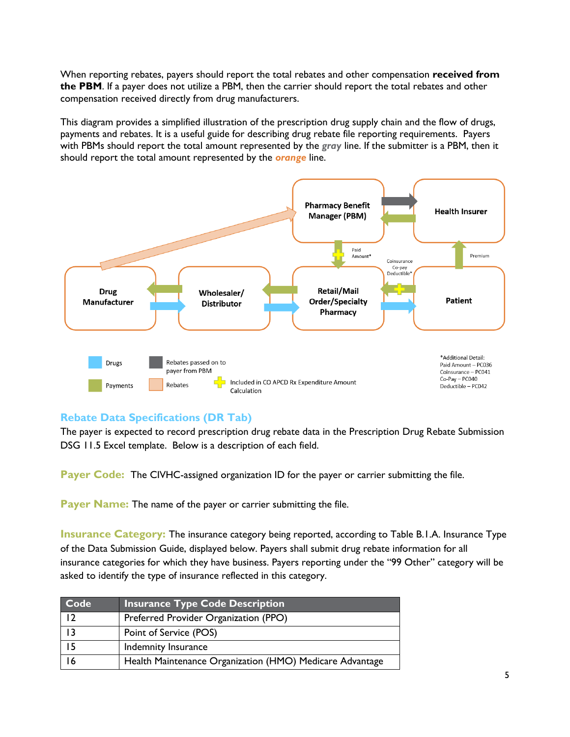When reporting rebates, payers should report the total rebates and other compensation **received from the PBM**. If a payer does not utilize a PBM, then the carrier should report the total rebates and other compensation received directly from drug manufacturers.

This diagram provides a simplified illustration of the prescription drug supply chain and the flow of drugs, payments and rebates. It is a useful guide for describing drug rebate file reporting requirements. Payers with PBMs should report the total amount represented by the *gray* line. If the submitter is a PBM, then it should report the total amount represented by the *orange* line.



#### **Rebate Data Specifications (DR Tab)**

The payer is expected to record prescription drug rebate data in the Prescription Drug Rebate Submission DSG 11.5 Excel template. Below is a description of each field.

**Payer Code:** The CIVHC-assigned organization ID for the payer or carrier submitting the file.

Payer Name: The name of the payer or carrier submitting the file.

**Insurance Category:** The insurance category being reported, according to Table B.1.A. Insurance Type of the Data Submission Guide, displayed below. Payers shall submit drug rebate information for all insurance categories for which they have business. Payers reporting under the "99 Other" category will be asked to identify the type of insurance reflected in this category.

| Code | <b>Insurance Type Code Description</b>                   |
|------|----------------------------------------------------------|
| 12   | Preferred Provider Organization (PPO)                    |
| 13   | Point of Service (POS)                                   |
| 15   | Indemnity Insurance                                      |
| 16   | Health Maintenance Organization (HMO) Medicare Advantage |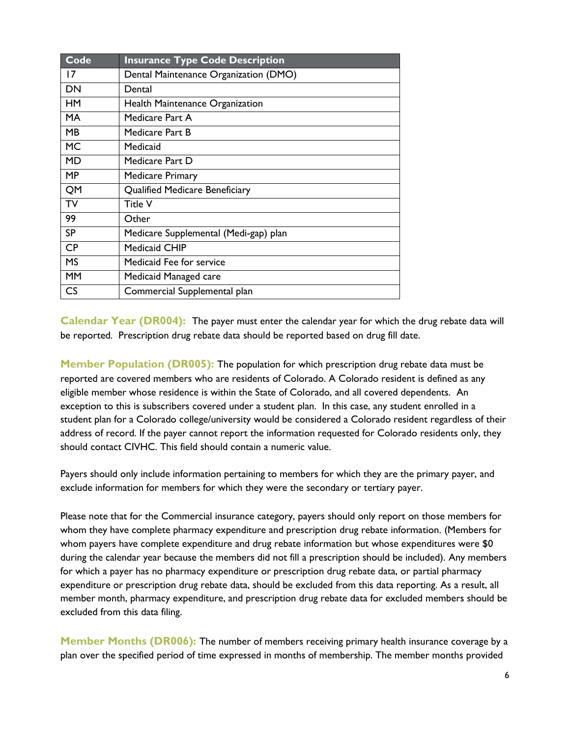| Code      | <b>Insurance Type Code Description</b> |
|-----------|----------------------------------------|
| 17        | Dental Maintenance Organization (DMO)  |
| <b>DN</b> | Dental                                 |
| HM        | Health Maintenance Organization        |
| <b>MA</b> | Medicare Part A                        |
| MB        | Medicare Part B                        |
| <b>MC</b> | Medicaid                               |
| <b>MD</b> | Medicare Part D                        |
| <b>MP</b> | <b>Medicare Primary</b>                |
| QM        | <b>Qualified Medicare Beneficiary</b>  |
| TV        | Title V                                |
| 99        | Other                                  |
| <b>SP</b> | Medicare Supplemental (Medi-gap) plan  |
| CP        | <b>Medicaid CHIP</b>                   |
| <b>MS</b> | Medicaid Fee for service               |
| <b>MM</b> | Medicaid Managed care                  |
| CS        | Commercial Supplemental plan           |

**Calendar Year (DR004):** The payer must enter the calendar year for which the drug rebate data will be reported. Prescription drug rebate data should be reported based on drug fill date.

**Member Population (DR005):** The population for which prescription drug rebate data must be reported are covered members who are residents of Colorado. A Colorado resident is defined as any eligible member whose residence is within the State of Colorado, and all covered dependents. An exception to this is subscribers covered under a student plan. In this case, any student enrolled in a student plan for a Colorado college/university would be considered a Colorado resident regardless of their address of record. If the payer cannot report the information requested for Colorado residents only, they should contact CIVHC. This field should contain a numeric value.

Payers should only include information pertaining to members for which they are the primary payer, and exclude information for members for which they were the secondary or tertiary payer.

Please note that for the Commercial insurance category, payers should only report on those members for whom they have complete pharmacy expenditure and prescription drug rebate information. (Members for whom payers have complete expenditure and drug rebate information but whose expenditures were \$0 during the calendar year because the members did not fill a prescription should be included). Any members for which a payer has no pharmacy expenditure or prescription drug rebate data, or partial pharmacy expenditure or prescription drug rebate data, should be excluded from this data reporting. As a result, all member month, pharmacy expenditure, and prescription drug rebate data for excluded members should be excluded from this data filing.

**Member Months (DR006):** The number of members receiving primary health insurance coverage by a plan over the specified period of time expressed in months of membership. The member months provided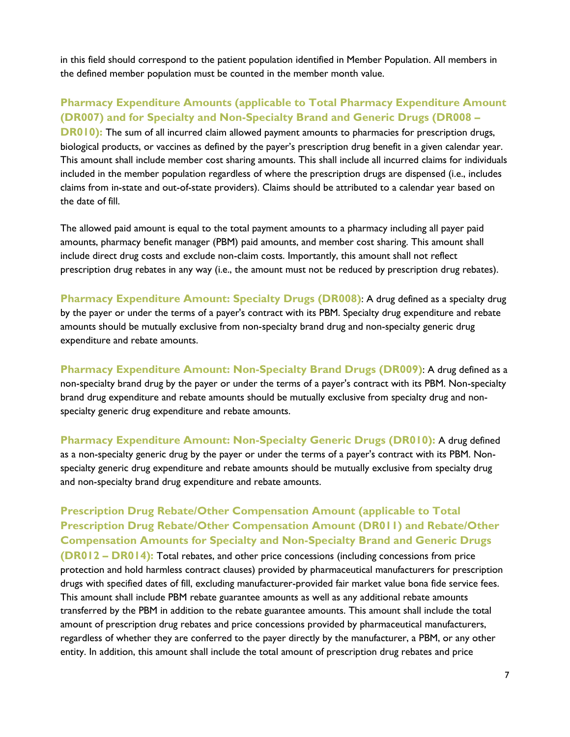in this field should correspond to the patient population identified in Member Population. All members in the defined member population must be counted in the member month value.

#### **Pharmacy Expenditure Amounts (applicable to Total Pharmacy Expenditure Amount (DR007) and for Specialty and Non-Specialty Brand and Generic Drugs (DR008 –**

**DR010):** The sum of all incurred claim allowed payment amounts to pharmacies for prescription drugs, biological products, or vaccines as defined by the payer's prescription drug benefit in a given calendar year. This amount shall include member cost sharing amounts. This shall include all incurred claims for individuals included in the member population regardless of where the prescription drugs are dispensed (i.e., includes claims from in-state and out-of-state providers). Claims should be attributed to a calendar year based on the date of fill.

The allowed paid amount is equal to the total payment amounts to a pharmacy including all payer paid amounts, pharmacy benefit manager (PBM) paid amounts, and member cost sharing. This amount shall include direct drug costs and exclude non-claim costs. Importantly, this amount shall not reflect prescription drug rebates in any way (i.e., the amount must not be reduced by prescription drug rebates).

**Pharmacy Expenditure Amount: Specialty Drugs (DR008)**: A drug defined as a specialty drug by the payer or under the terms of a payer's contract with its PBM. Specialty drug expenditure and rebate amounts should be mutually exclusive from non-specialty brand drug and non-specialty generic drug expenditure and rebate amounts.

**Pharmacy Expenditure Amount: Non-Specialty Brand Drugs (DR009)**: A drug defined as a non-specialty brand drug by the payer or under the terms of a payer's contract with its PBM. Non-specialty brand drug expenditure and rebate amounts should be mutually exclusive from specialty drug and nonspecialty generic drug expenditure and rebate amounts.

**Pharmacy Expenditure Amount: Non-Specialty Generic Drugs (DR010):** A drug defined as a non-specialty generic drug by the payer or under the terms of a payer's contract with its PBM. Nonspecialty generic drug expenditure and rebate amounts should be mutually exclusive from specialty drug and non-specialty brand drug expenditure and rebate amounts.

**Prescription Drug Rebate/Other Compensation Amount (applicable to Total Prescription Drug Rebate/Other Compensation Amount (DR011) and Rebate/Other Compensation Amounts for Specialty and Non-Specialty Brand and Generic Drugs (DR012 – DR014):** Total rebates, and other price concessions (including concessions from price protection and hold harmless contract clauses) provided by pharmaceutical manufacturers for prescription drugs with specified dates of fill, excluding manufacturer-provided fair market value bona fide service fees. This amount shall include PBM rebate guarantee amounts as well as any additional rebate amounts transferred by the PBM in addition to the rebate guarantee amounts. This amount shall include the total amount of prescription drug rebates and price concessions provided by pharmaceutical manufacturers, regardless of whether they are conferred to the payer directly by the manufacturer, a PBM, or any other entity. In addition, this amount shall include the total amount of prescription drug rebates and price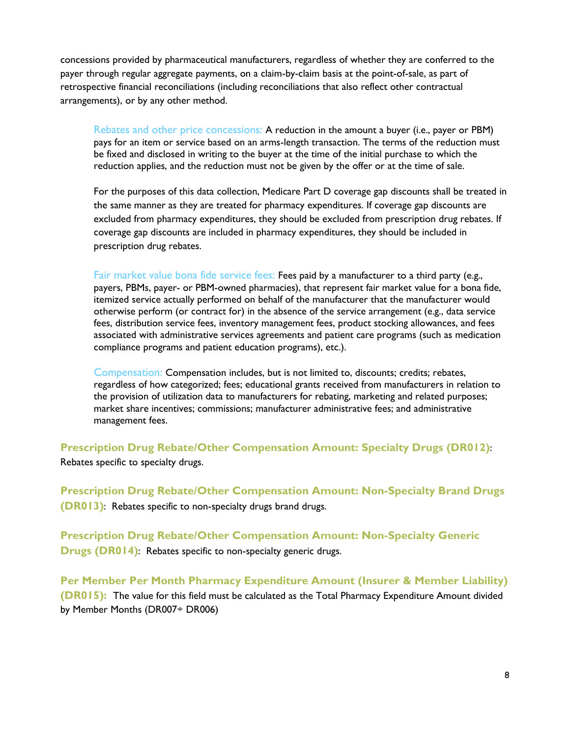concessions provided by pharmaceutical manufacturers, regardless of whether they are conferred to the payer through regular aggregate payments, on a claim-by-claim basis at the point-of-sale, as part of retrospective financial reconciliations (including reconciliations that also reflect other contractual arrangements), or by any other method.

Rebates and other price concessions: A reduction in the amount a buyer (i.e., payer or PBM) pays for an item or service based on an arms-length transaction. The terms of the reduction must be fixed and disclosed in writing to the buyer at the time of the initial purchase to which the reduction applies, and the reduction must not be given by the offer or at the time of sale.

For the purposes of this data collection, Medicare Part D coverage gap discounts shall be treated in the same manner as they are treated for pharmacy expenditures. If coverage gap discounts are excluded from pharmacy expenditures, they should be excluded from prescription drug rebates. If coverage gap discounts are included in pharmacy expenditures, they should be included in prescription drug rebates.

Fair market value bona fide service fees: Fees paid by a manufacturer to a third party (e.g., payers, PBMs, payer- or PBM-owned pharmacies), that represent fair market value for a bona fide, itemized service actually performed on behalf of the manufacturer that the manufacturer would otherwise perform (or contract for) in the absence of the service arrangement (e.g., data service fees, distribution service fees, inventory management fees, product stocking allowances, and fees associated with administrative services agreements and patient care programs (such as medication compliance programs and patient education programs), etc.).

Compensation: Compensation includes, but is not limited to, discounts; credits; rebates, regardless of how categorized; fees; educational grants received from manufacturers in relation to the provision of utilization data to manufacturers for rebating, marketing and related purposes; market share incentives; commissions; manufacturer administrative fees; and administrative management fees.

**Prescription Drug Rebate/Other Compensation Amount: Specialty Drugs (DR012)**: Rebates specific to specialty drugs.

**Prescription Drug Rebate/Other Compensation Amount: Non-Specialty Brand Drugs (DR013)**: Rebates specific to non-specialty drugs brand drugs.

**Prescription Drug Rebate/Other Compensation Amount: Non-Specialty Generic Drugs (DR014)**: Rebates specific to non-specialty generic drugs.

**Per Member Per Month Pharmacy Expenditure Amount (Insurer & Member Liability) (DR015):** The value for this field must be calculated as the Total Pharmacy Expenditure Amount divided by Member Months (DR007÷ DR006)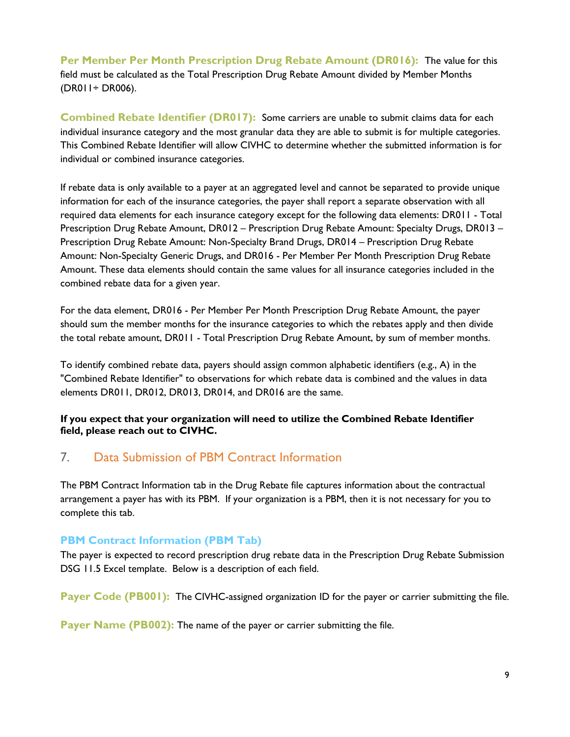**Per Member Per Month Prescription Drug Rebate Amount (DR016):** The value for this field must be calculated as the Total Prescription Drug Rebate Amount divided by Member Months (DR011÷ DR006).

**Combined Rebate Identifier (DR017):** Some carriers are unable to submit claims data for each individual insurance category and the most granular data they are able to submit is for multiple categories. This Combined Rebate Identifier will allow CIVHC to determine whether the submitted information is for individual or combined insurance categories.

If rebate data is only available to a payer at an aggregated level and cannot be separated to provide unique information for each of the insurance categories, the payer shall report a separate observation with all required data elements for each insurance category except for the following data elements: DR011 - Total Prescription Drug Rebate Amount, DR012 – Prescription Drug Rebate Amount: Specialty Drugs, DR013 – Prescription Drug Rebate Amount: Non-Specialty Brand Drugs, DR014 – Prescription Drug Rebate Amount: Non-Specialty Generic Drugs, and DR016 - Per Member Per Month Prescription Drug Rebate Amount. These data elements should contain the same values for all insurance categories included in the combined rebate data for a given year.

For the data element, DR016 - Per Member Per Month Prescription Drug Rebate Amount, the payer should sum the member months for the insurance categories to which the rebates apply and then divide the total rebate amount, DR011 - Total Prescription Drug Rebate Amount, by sum of member months.

To identify combined rebate data, payers should assign common alphabetic identifiers (e.g., A) in the "Combined Rebate Identifier" to observations for which rebate data is combined and the values in data elements DR011, DR012, DR013, DR014, and DR016 are the same.

**If you expect that your organization will need to utilize the Combined Rebate Identifier field, please reach out to CIVHC.**

## 7. Data Submission of PBM Contract Information

The PBM Contract Information tab in the Drug Rebate file captures information about the contractual arrangement a payer has with its PBM. If your organization is a PBM, then it is not necessary for you to complete this tab.

#### **PBM Contract Information (PBM Tab)**

The payer is expected to record prescription drug rebate data in the Prescription Drug Rebate Submission DSG 11.5 Excel template. Below is a description of each field.

**Payer Code (PB001):** The CIVHC-assigned organization ID for the payer or carrier submitting the file.

**Payer Name (PB002):** The name of the payer or carrier submitting the file.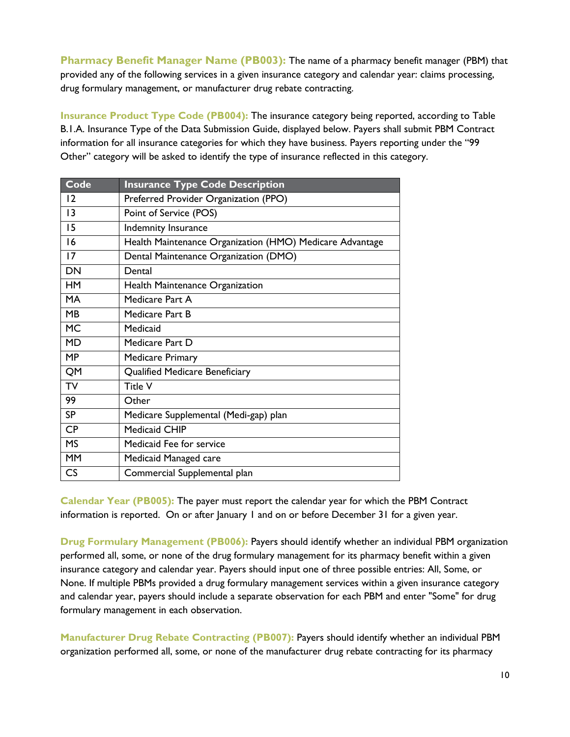**Pharmacy Benefit Manager Name (PB003):** The name of a pharmacy benefit manager (PBM) that provided any of the following services in a given insurance category and calendar year: claims processing, drug formulary management, or manufacturer drug rebate contracting.

**Insurance Product Type Code (PB004):** The insurance category being reported, according to Table B.1.A. Insurance Type of the Data Submission Guide, displayed below. Payers shall submit PBM Contract information for all insurance categories for which they have business. Payers reporting under the "99 Other" category will be asked to identify the type of insurance reflected in this category.

| Code      | <b>Insurance Type Code Description</b>                   |
|-----------|----------------------------------------------------------|
| 12        | Preferred Provider Organization (PPO)                    |
| 13        | Point of Service (POS)                                   |
| 15        | Indemnity Insurance                                      |
| 16        | Health Maintenance Organization (HMO) Medicare Advantage |
| 17        | Dental Maintenance Organization (DMO)                    |
| DN        | Dental                                                   |
| <b>HM</b> | Health Maintenance Organization                          |
| <b>MA</b> | Medicare Part A                                          |
| MB        | Medicare Part B                                          |
| <b>MC</b> | Medicaid                                                 |
| <b>MD</b> | Medicare Part D                                          |
| MP        | <b>Medicare Primary</b>                                  |
| QM        | <b>Qualified Medicare Beneficiary</b>                    |
| <b>TV</b> | Title V                                                  |
| 99        | Other                                                    |
| <b>SP</b> | Medicare Supplemental (Medi-gap) plan                    |
| <b>CP</b> | <b>Medicaid CHIP</b>                                     |
| <b>MS</b> | Medicaid Fee for service                                 |
| <b>MM</b> | Medicaid Managed care                                    |
| CS        | Commercial Supplemental plan                             |

**Calendar Year (PB005):** The payer must report the calendar year for which the PBM Contract information is reported. On or after January 1 and on or before December 31 for a given year.

**Drug Formulary Management (PB006):** Payers should identify whether an individual PBM organization performed all, some, or none of the drug formulary management for its pharmacy benefit within a given insurance category and calendar year. Payers should input one of three possible entries: All, Some, or None. If multiple PBMs provided a drug formulary management services within a given insurance category and calendar year, payers should include a separate observation for each PBM and enter "Some" for drug formulary management in each observation.

**Manufacturer Drug Rebate Contracting (PB007):** Payers should identify whether an individual PBM organization performed all, some, or none of the manufacturer drug rebate contracting for its pharmacy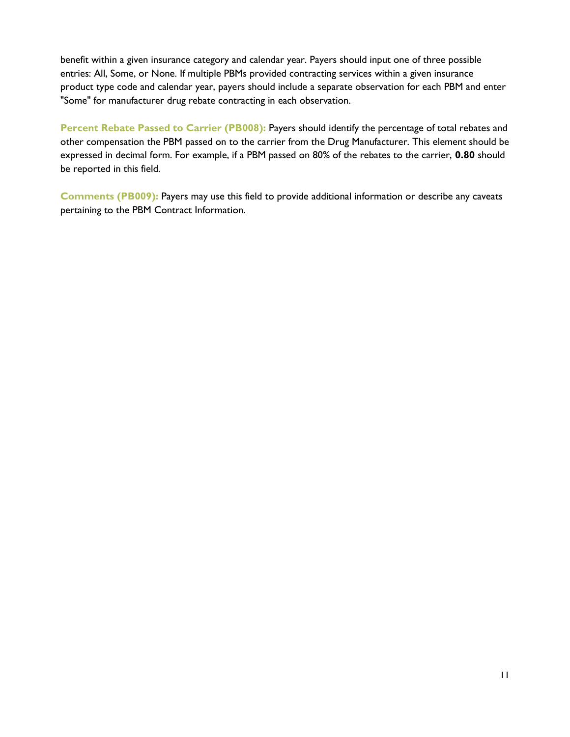benefit within a given insurance category and calendar year. Payers should input one of three possible entries: All, Some, or None. If multiple PBMs provided contracting services within a given insurance product type code and calendar year, payers should include a separate observation for each PBM and enter "Some" for manufacturer drug rebate contracting in each observation.

**Percent Rebate Passed to Carrier (PB008):** Payers should identify the percentage of total rebates and other compensation the PBM passed on to the carrier from the Drug Manufacturer. This element should be expressed in decimal form. For example, if a PBM passed on 80% of the rebates to the carrier, **0.80** should be reported in this field.

**Comments (PB009):** Payers may use this field to provide additional information or describe any caveats pertaining to the PBM Contract Information.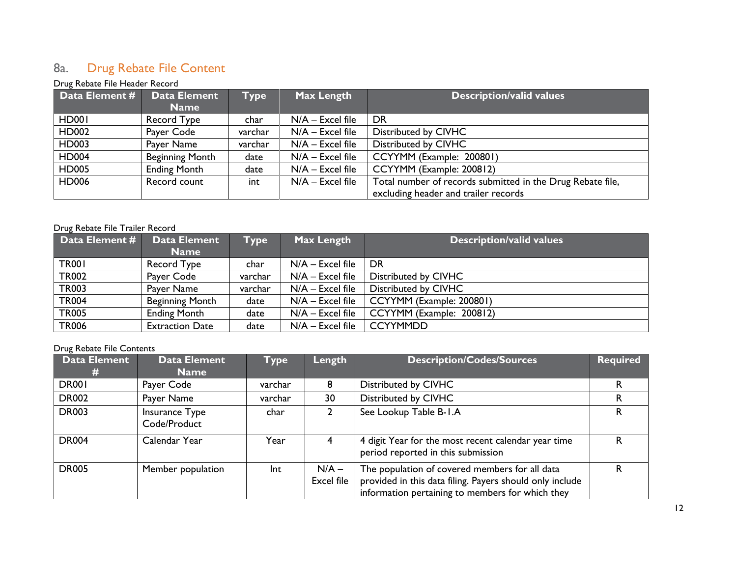## 8a. Drug Rebate File Content

#### Drug Rebate File Header Record

| Data Element # | <b>Data Element</b><br><b>Name</b> | <b>Type</b> | Max Length         | <b>Description/valid values</b>                            |
|----------------|------------------------------------|-------------|--------------------|------------------------------------------------------------|
|                |                                    |             |                    |                                                            |
| <b>HD001</b>   | Record Type                        | char        | $N/A$ – Excel file | DR                                                         |
| HD002          | Payer Code                         | varchar     | $N/A$ – Excel file | Distributed by CIVHC                                       |
| HD003          | Payer Name                         | varchar     | $N/A$ – Excel file | Distributed by CIVHC                                       |
| <b>HD004</b>   | <b>Beginning Month</b>             | date        | $N/A$ – Excel file | CCYYMM (Example: 200801)                                   |
| <b>HD005</b>   | <b>Ending Month</b>                | date        | $N/A$ – Excel file | CCYYMM (Example: 200812)                                   |
| <b>HD006</b>   | Record count                       | int         | $N/A$ – Excel file | Total number of records submitted in the Drug Rebate file, |
|                |                                    |             |                    | excluding header and trailer records                       |

#### Drug Rebate File Trailer Record

| Data Element # | <b>Data Element</b><br><b>Name</b> | Type    | Max Length         | <b>Description/valid values</b> |
|----------------|------------------------------------|---------|--------------------|---------------------------------|
| <b>TR001</b>   | Record Type                        | char    | $N/A$ – Excel file | DR                              |
| <b>TR002</b>   | Payer Code                         | varchar | $N/A$ – Excel file | Distributed by CIVHC            |
| <b>TR003</b>   | Payer Name                         | varchar | $N/A$ – Excel file | Distributed by CIVHC            |
| <b>TR004</b>   | <b>Beginning Month</b>             | date    | $N/A$ – Excel file | CCYYMM (Example: 200801)        |
| <b>TR005</b>   | <b>Ending Month</b>                | date    | $N/A$ – Excel file | CCYYMM (Example: 200812)        |
| <b>TR006</b>   | <b>Extraction Date</b>             | date    | $N/A$ – Excel file | <b>CCYYMMDD</b>                 |

#### Drug Rebate File Contents

| <b>Data Element</b> | <b>Data Element</b><br><b>Name</b> | <b>Type</b> | Length                | <b>Description/Codes/Sources</b>                                                                                                                               | <b>Required</b> |
|---------------------|------------------------------------|-------------|-----------------------|----------------------------------------------------------------------------------------------------------------------------------------------------------------|-----------------|
| <b>DR001</b>        | Payer Code                         | varchar     | 8                     | Distributed by CIVHC                                                                                                                                           |                 |
| <b>DR002</b>        | Payer Name                         | varchar     | 30                    | Distributed by CIVHC                                                                                                                                           |                 |
| <b>DR003</b>        | Insurance Type<br>Code/Product     | char        |                       | See Lookup Table B-1.A                                                                                                                                         |                 |
| <b>DR004</b>        | Calendar Year                      | Year        |                       | 4 digit Year for the most recent calendar year time<br>period reported in this submission                                                                      |                 |
| <b>DR005</b>        | Member population                  | Int         | $N/A -$<br>Excel file | The population of covered members for all data<br>provided in this data filing. Payers should only include<br>information pertaining to members for which they | R               |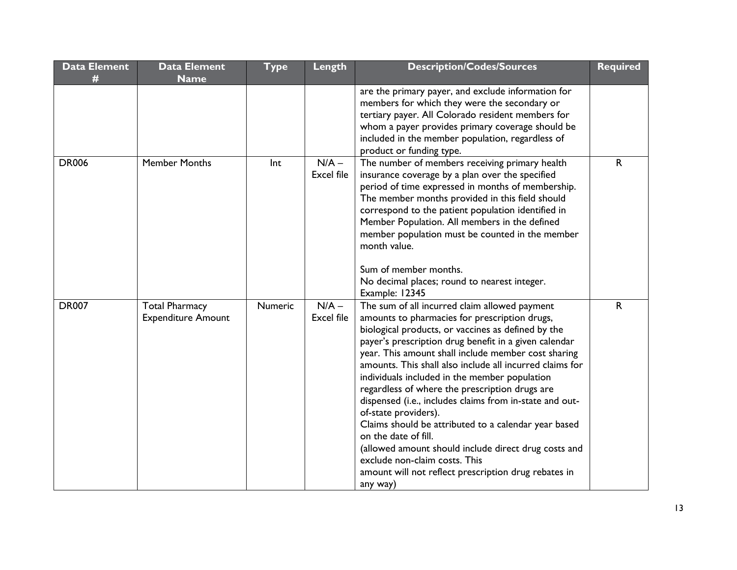| <b>Data Element</b> | <b>Data Element</b>       | <b>Type</b> | Length            | <b>Description/Codes/Sources</b>                                | <b>Required</b> |
|---------------------|---------------------------|-------------|-------------------|-----------------------------------------------------------------|-----------------|
| #                   | <b>Name</b>               |             |                   |                                                                 |                 |
|                     |                           |             |                   | are the primary payer, and exclude information for              |                 |
|                     |                           |             |                   | members for which they were the secondary or                    |                 |
|                     |                           |             |                   | tertiary payer. All Colorado resident members for               |                 |
|                     |                           |             |                   | whom a payer provides primary coverage should be                |                 |
|                     |                           |             |                   | included in the member population, regardless of                |                 |
|                     |                           |             |                   | product or funding type.                                        |                 |
| <b>DR006</b>        | <b>Member Months</b>      | Int         | $N/A -$           | The number of members receiving primary health                  | R.              |
|                     |                           |             | <b>Excel file</b> | insurance coverage by a plan over the specified                 |                 |
|                     |                           |             |                   | period of time expressed in months of membership.               |                 |
|                     |                           |             |                   | The member months provided in this field should                 |                 |
|                     |                           |             |                   | correspond to the patient population identified in              |                 |
|                     |                           |             |                   | Member Population. All members in the defined                   |                 |
|                     |                           |             |                   | member population must be counted in the member<br>month value. |                 |
|                     |                           |             |                   |                                                                 |                 |
|                     |                           |             |                   | Sum of member months.                                           |                 |
|                     |                           |             |                   | No decimal places; round to nearest integer.                    |                 |
|                     |                           |             |                   | Example: 12345                                                  |                 |
| <b>DR007</b>        | <b>Total Pharmacy</b>     | Numeric     | $N/A -$           | The sum of all incurred claim allowed payment                   | $\mathsf{R}$    |
|                     | <b>Expenditure Amount</b> |             | <b>Excel file</b> | amounts to pharmacies for prescription drugs,                   |                 |
|                     |                           |             |                   | biological products, or vaccines as defined by the              |                 |
|                     |                           |             |                   | payer's prescription drug benefit in a given calendar           |                 |
|                     |                           |             |                   | year. This amount shall include member cost sharing             |                 |
|                     |                           |             |                   | amounts. This shall also include all incurred claims for        |                 |
|                     |                           |             |                   | individuals included in the member population                   |                 |
|                     |                           |             |                   | regardless of where the prescription drugs are                  |                 |
|                     |                           |             |                   | dispensed (i.e., includes claims from in-state and out-         |                 |
|                     |                           |             |                   | of-state providers).                                            |                 |
|                     |                           |             |                   | Claims should be attributed to a calendar year based            |                 |
|                     |                           |             |                   | on the date of fill.                                            |                 |
|                     |                           |             |                   | (allowed amount should include direct drug costs and            |                 |
|                     |                           |             |                   | exclude non-claim costs. This                                   |                 |
|                     |                           |             |                   | amount will not reflect prescription drug rebates in            |                 |
|                     |                           |             |                   | any way)                                                        |                 |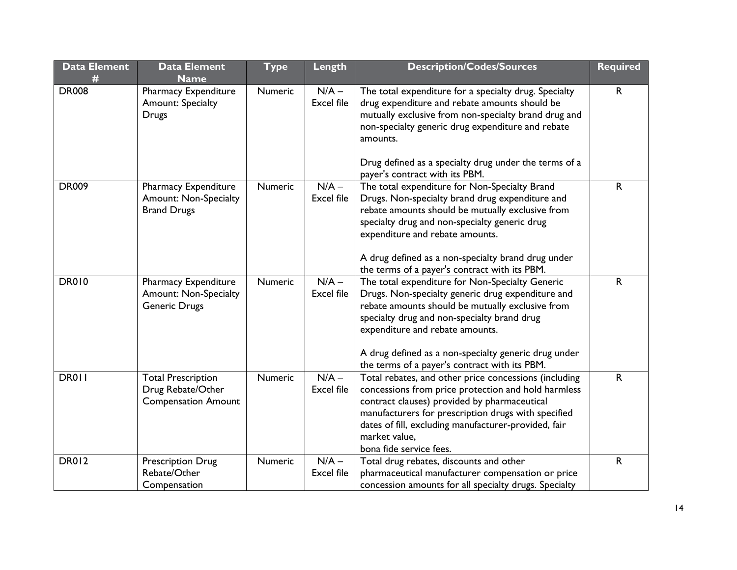| <b>Data Element</b> | <b>Data Element</b><br><b>Name</b>                                           | <b>Type</b> | Length                       | <b>Description/Codes/Sources</b>                                                                                                                                                                                                                                                                                                                    | Required     |
|---------------------|------------------------------------------------------------------------------|-------------|------------------------------|-----------------------------------------------------------------------------------------------------------------------------------------------------------------------------------------------------------------------------------------------------------------------------------------------------------------------------------------------------|--------------|
| <b>DR008</b>        | Pharmacy Expenditure<br>Amount: Specialty<br><b>Drugs</b>                    | Numeric     | $N/A -$<br><b>Excel file</b> | The total expenditure for a specialty drug. Specialty<br>drug expenditure and rebate amounts should be<br>mutually exclusive from non-specialty brand drug and<br>non-specialty generic drug expenditure and rebate<br>amounts.<br>Drug defined as a specialty drug under the terms of a<br>payer's contract with its PBM.                          | R            |
| <b>DR009</b>        | Pharmacy Expenditure<br><b>Amount: Non-Specialty</b><br><b>Brand Drugs</b>   | Numeric     | $N/A -$<br><b>Excel file</b> | The total expenditure for Non-Specialty Brand<br>Drugs. Non-specialty brand drug expenditure and<br>rebate amounts should be mutually exclusive from<br>specialty drug and non-specialty generic drug<br>expenditure and rebate amounts.<br>A drug defined as a non-specialty brand drug under<br>the terms of a payer's contract with its PBM.     | R            |
| <b>DR010</b>        | Pharmacy Expenditure<br><b>Amount: Non-Specialty</b><br>Generic Drugs        | Numeric     | $N/A -$<br><b>Excel file</b> | The total expenditure for Non-Specialty Generic<br>Drugs. Non-specialty generic drug expenditure and<br>rebate amounts should be mutually exclusive from<br>specialty drug and non-specialty brand drug<br>expenditure and rebate amounts.<br>A drug defined as a non-specialty generic drug under<br>the terms of a payer's contract with its PBM. | $\mathsf{R}$ |
| DR011               | <b>Total Prescription</b><br>Drug Rebate/Other<br><b>Compensation Amount</b> | Numeric     | $N/A -$<br><b>Excel file</b> | Total rebates, and other price concessions (including<br>concessions from price protection and hold harmless<br>contract clauses) provided by pharmaceutical<br>manufacturers for prescription drugs with specified<br>dates of fill, excluding manufacturer-provided, fair<br>market value,<br>bona fide service fees.                             | $\mathsf{R}$ |
| <b>DR012</b>        | <b>Prescription Drug</b><br>Rebate/Other<br>Compensation                     | Numeric     | $N/A -$<br><b>Excel file</b> | Total drug rebates, discounts and other<br>pharmaceutical manufacturer compensation or price<br>concession amounts for all specialty drugs. Specialty                                                                                                                                                                                               | R            |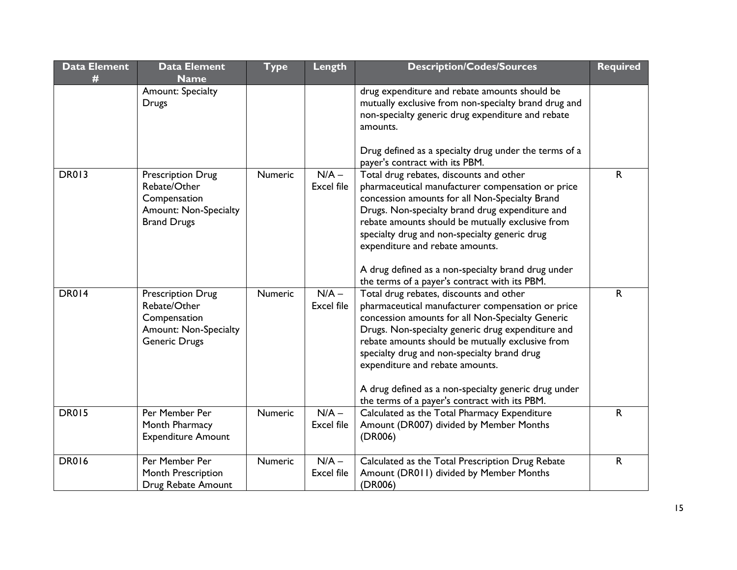| <b>Data Element</b><br># | <b>Data Element</b><br><b>Name</b>                                                                               | <b>Type</b>    | Length                       | <b>Description/Codes/Sources</b>                                                                                                                                                                                                                                                                                                                                                                                                                     | <b>Required</b> |
|--------------------------|------------------------------------------------------------------------------------------------------------------|----------------|------------------------------|------------------------------------------------------------------------------------------------------------------------------------------------------------------------------------------------------------------------------------------------------------------------------------------------------------------------------------------------------------------------------------------------------------------------------------------------------|-----------------|
|                          | Amount: Specialty<br><b>Drugs</b>                                                                                |                |                              | drug expenditure and rebate amounts should be<br>mutually exclusive from non-specialty brand drug and<br>non-specialty generic drug expenditure and rebate<br>amounts.<br>Drug defined as a specialty drug under the terms of a<br>payer's contract with its PBM.                                                                                                                                                                                    |                 |
| <b>DR013</b>             | <b>Prescription Drug</b><br>Rebate/Other<br>Compensation<br><b>Amount: Non-Specialty</b><br><b>Brand Drugs</b>   | <b>Numeric</b> | $N/A -$<br><b>Excel file</b> | Total drug rebates, discounts and other<br>pharmaceutical manufacturer compensation or price<br>concession amounts for all Non-Specialty Brand<br>Drugs. Non-specialty brand drug expenditure and<br>rebate amounts should be mutually exclusive from<br>specialty drug and non-specialty generic drug<br>expenditure and rebate amounts.<br>A drug defined as a non-specialty brand drug under<br>the terms of a payer's contract with its PBM.     | R.              |
| <b>DR014</b>             | <b>Prescription Drug</b><br>Rebate/Other<br>Compensation<br><b>Amount: Non-Specialty</b><br><b>Generic Drugs</b> | <b>Numeric</b> | $N/A -$<br><b>Excel file</b> | Total drug rebates, discounts and other<br>pharmaceutical manufacturer compensation or price<br>concession amounts for all Non-Specialty Generic<br>Drugs. Non-specialty generic drug expenditure and<br>rebate amounts should be mutually exclusive from<br>specialty drug and non-specialty brand drug<br>expenditure and rebate amounts.<br>A drug defined as a non-specialty generic drug under<br>the terms of a payer's contract with its PBM. | $\mathsf{R}$    |
| <b>DR015</b>             | Per Member Per<br>Month Pharmacy<br><b>Expenditure Amount</b>                                                    | <b>Numeric</b> | $N/A -$<br><b>Excel file</b> | Calculated as the Total Pharmacy Expenditure<br>Amount (DR007) divided by Member Months<br>(DR006)                                                                                                                                                                                                                                                                                                                                                   | $\mathsf{R}$    |
| <b>DR016</b>             | Per Member Per<br>Month Prescription<br>Drug Rebate Amount                                                       | Numeric        | $N/A -$<br><b>Excel file</b> | Calculated as the Total Prescription Drug Rebate<br>Amount (DR011) divided by Member Months<br>(DR006)                                                                                                                                                                                                                                                                                                                                               | R               |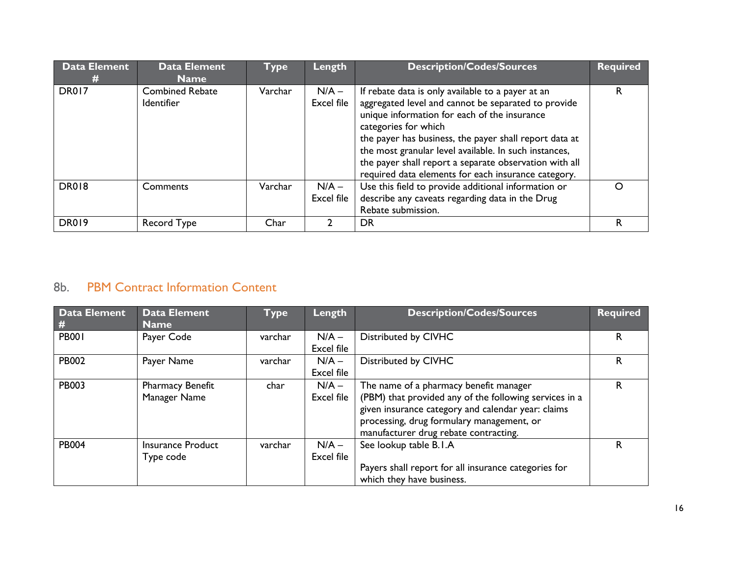| <b>Data Element</b><br># | <b>Data Element</b><br><b>Name</b>          | <b>Type</b> | Length                | <b>Description/Codes/Sources</b>                                                                                                                                                                                                                                                                                                                                                                                     | <b>Required</b> |
|--------------------------|---------------------------------------------|-------------|-----------------------|----------------------------------------------------------------------------------------------------------------------------------------------------------------------------------------------------------------------------------------------------------------------------------------------------------------------------------------------------------------------------------------------------------------------|-----------------|
| DR017                    | <b>Combined Rebate</b><br><b>Identifier</b> | Varchar     | $N/A -$<br>Excel file | If rebate data is only available to a payer at an<br>aggregated level and cannot be separated to provide<br>unique information for each of the insurance<br>categories for which<br>the payer has business, the payer shall report data at<br>the most granular level available. In such instances,<br>the payer shall report a separate observation with all<br>required data elements for each insurance category. | R.              |
| <b>DR018</b>             | Comments                                    | Varchar     | $N/A -$<br>Excel file | Use this field to provide additional information or<br>describe any caveats regarding data in the Drug<br>Rebate submission.                                                                                                                                                                                                                                                                                         |                 |
| <b>DR019</b>             | Record Type                                 | Char        |                       | DR                                                                                                                                                                                                                                                                                                                                                                                                                   |                 |

## 8b. PBM Contract Information Content

| Data Element | <b>Data Element</b>      | Type    | Length     | <b>Description/Codes/Sources</b>                       | <b>Required</b> |
|--------------|--------------------------|---------|------------|--------------------------------------------------------|-----------------|
| #            | <b>Name</b>              |         |            |                                                        |                 |
| <b>PB001</b> | Payer Code               | varchar | $N/A -$    | Distributed by CIVHC                                   | R.              |
|              |                          |         | Excel file |                                                        |                 |
| <b>PB002</b> | Payer Name               | varchar | $N/A -$    | Distributed by CIVHC                                   | R               |
|              |                          |         | Excel file |                                                        |                 |
| <b>PB003</b> | <b>Pharmacy Benefit</b>  | char    | $N/A -$    | The name of a pharmacy benefit manager                 | R               |
|              | Manager Name             |         | Excel file | (PBM) that provided any of the following services in a |                 |
|              |                          |         |            | given insurance category and calendar year: claims     |                 |
|              |                          |         |            | processing, drug formulary management, or              |                 |
|              |                          |         |            | manufacturer drug rebate contracting.                  |                 |
| <b>PB004</b> | <b>Insurance Product</b> | varchar | $N/A -$    | See lookup table B.I.A                                 | R.              |
|              | Type code                |         | Excel file |                                                        |                 |
|              |                          |         |            | Payers shall report for all insurance categories for   |                 |
|              |                          |         |            | which they have business.                              |                 |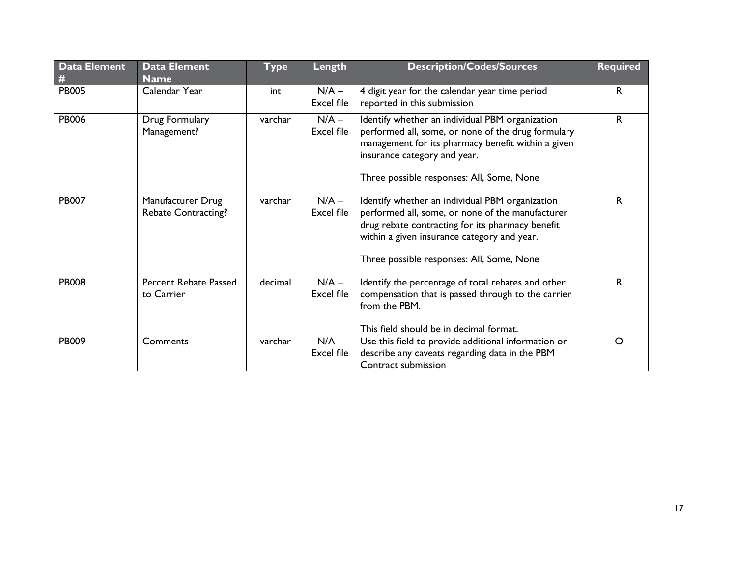| Data Element<br># | <b>Data Element</b><br><b>Name</b>              | Length<br><b>Type</b> |                       | <b>Description/Codes/Sources</b>                                                                                                                                                                                                                    | <b>Required</b> |
|-------------------|-------------------------------------------------|-----------------------|-----------------------|-----------------------------------------------------------------------------------------------------------------------------------------------------------------------------------------------------------------------------------------------------|-----------------|
| <b>PB005</b>      | Calendar Year                                   | int                   | $N/A -$<br>Excel file | 4 digit year for the calendar year time period<br>reported in this submission                                                                                                                                                                       | R.              |
| <b>PB006</b>      | Drug Formulary<br>Management?                   | varchar               | $N/A -$<br>Excel file | Identify whether an individual PBM organization<br>performed all, some, or none of the drug formulary<br>management for its pharmacy benefit within a given<br>insurance category and year.<br>Three possible responses: All, Some, None            | $\mathsf{R}$    |
| <b>PB007</b>      | Manufacturer Drug<br><b>Rebate Contracting?</b> | varchar               | $N/A -$<br>Excel file | Identify whether an individual PBM organization<br>performed all, some, or none of the manufacturer<br>drug rebate contracting for its pharmacy benefit<br>within a given insurance category and year.<br>Three possible responses: All, Some, None | $\mathsf{R}$    |
| <b>PB008</b>      | Percent Rebate Passed<br>to Carrier             | decimal               | $N/A -$<br>Excel file | Identify the percentage of total rebates and other<br>compensation that is passed through to the carrier<br>from the PBM.<br>This field should be in decimal format.                                                                                | $\mathsf{R}$    |
| <b>PB009</b>      | Comments                                        | varchar               | $N/A -$<br>Excel file | Use this field to provide additional information or<br>describe any caveats regarding data in the PBM<br>Contract submission                                                                                                                        | $\circ$         |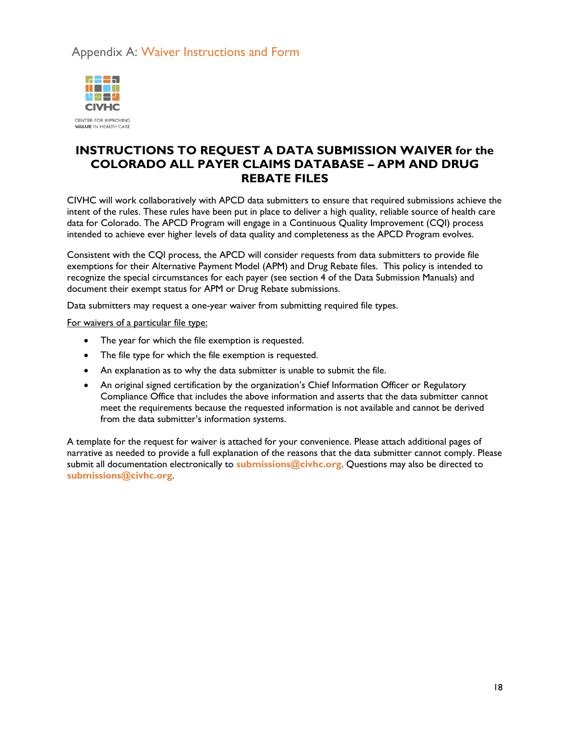## Appendix A: Waiver Instructions and Form



CENTER FOR IMPROVING **VALUE IN HEALTH CARE** 

## **INSTRUCTIONS TO REQUEST A DATA SUBMISSION WAIVER for the COLORADO ALL PAYER CLAIMS DATABASE – APM AND DRUG REBATE FILES**

CIVHC will work collaboratively with APCD data submitters to ensure that required submissions achieve the intent of the rules. These rules have been put in place to deliver a high quality, reliable source of health care data for Colorado. The APCD Program will engage in a Continuous Quality Improvement (CQI) process intended to achieve ever higher levels of data quality and completeness as the APCD Program evolves.

Consistent with the CQI process, the APCD will consider requests from data submitters to provide file exemptions for their Alternative Payment Model (APM) and Drug Rebate files. This policy is intended to recognize the special circumstances for each payer (see section 4 of the Data Submission Manuals) and document their exempt status for APM or Drug Rebate submissions.

Data submitters may request a one-year waiver from submitting required file types.

For waivers of a particular file type:

- The year for which the file exemption is requested.
- The file type for which the file exemption is requested.
- An explanation as to why the data submitter is unable to submit the file.
- An original signed certification by the organization's Chief Information Officer or Regulatory Compliance Office that includes the above information and asserts that the data submitter cannot meet the requirements because the requested information is not available and cannot be derived from the data submitter's information systems.

A template for the request for waiver is attached for your convenience. Please attach additional pages of narrative as needed to provide a full explanation of the reasons that the data submitter cannot comply. Please submit all documentation electronically to **submissions@civhc.org**. Questions may also be directed to **submissions@civhc.org**.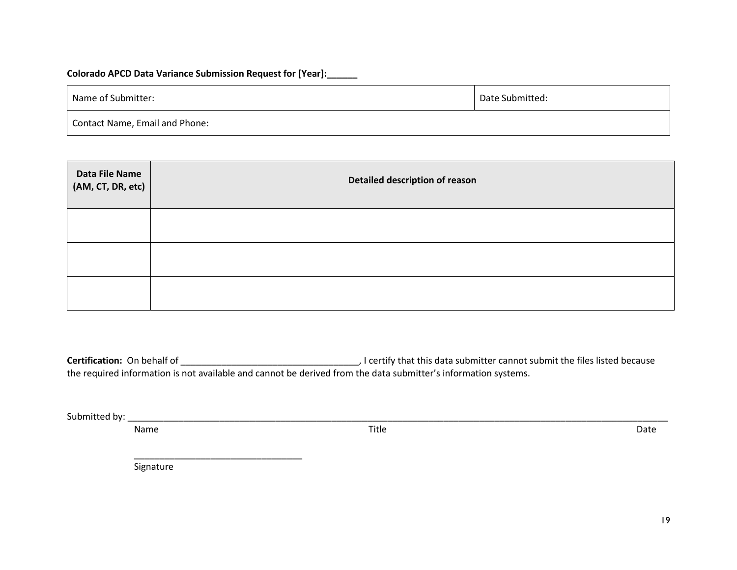#### **Colorado APCD Data Variance Submission Request for [Year]:\_\_\_\_\_\_**

| Name of Submitter:             | Date Submitted: |  |  |  |
|--------------------------------|-----------------|--|--|--|
| Contact Name, Email and Phone: |                 |  |  |  |

| Data File Name<br>(AM, CT, DR, etc) | Detailed description of reason |  |  |  |  |  |  |  |
|-------------------------------------|--------------------------------|--|--|--|--|--|--|--|
|                                     |                                |  |  |  |  |  |  |  |
|                                     |                                |  |  |  |  |  |  |  |
|                                     |                                |  |  |  |  |  |  |  |

**Certification:** On behalf of \_\_\_\_\_\_\_\_\_\_\_\_\_\_\_\_\_\_\_\_\_\_\_\_\_\_\_\_\_\_\_\_\_\_\_, I certify that this data submitter cannot submit the files listed because the required information is not available and cannot be derived from the data submitter's information systems.

Submitted by: \_\_\_\_\_\_\_\_\_\_\_\_\_\_\_\_\_\_\_\_\_\_\_\_\_\_\_\_\_\_\_\_\_\_\_\_\_\_\_\_\_\_\_\_\_\_\_\_\_\_\_\_\_\_\_\_\_\_\_\_\_\_\_\_\_\_\_\_\_\_\_\_\_\_\_\_\_\_\_\_\_\_\_\_\_\_\_\_\_\_\_\_\_\_\_\_\_\_\_\_\_\_\_\_\_\_

Name **Name** Date of the Contract of Title **Contract of the Contract of the Contract of Contract of Contract of Contract of Contract of Contract of Contract of Contract of Contract of Contract of Contract of Contract of Con** 

Signature

\_\_\_\_\_\_\_\_\_\_\_\_\_\_\_\_\_\_\_\_\_\_\_\_\_\_\_\_\_\_\_\_\_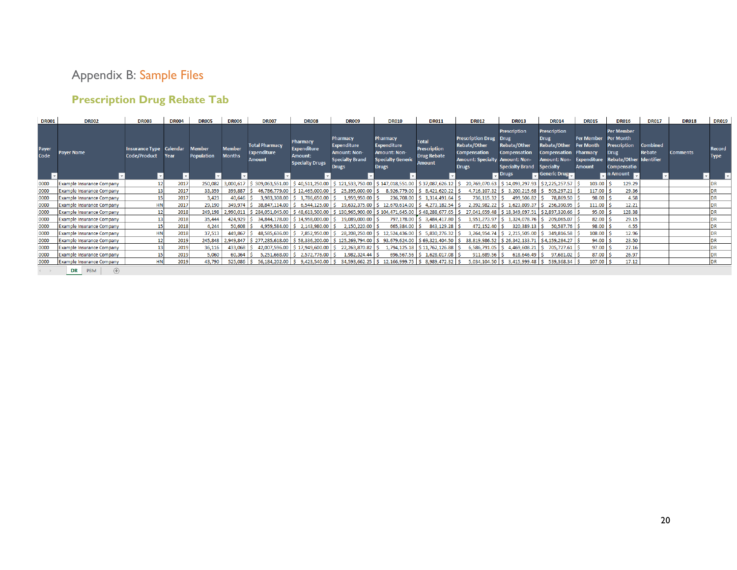## Appendix B: Sample Files

## **Prescription Drug Rebate Tab**

| <b>DR001</b>  | <b>DR002</b>                     | <b>DR003</b>                            | <b>DR004</b> | <b>DR005</b>                | <b>DR006</b>                   | <b>DR007</b>                                                 | <b>DR008</b>                                                        | <b>DR009</b>                                                                                           | <b>DR010</b>                                                                                                                 | <b>DR011</b>                                                        | <b>DR012</b>                                                                                                | <b>DR013</b>                                                                                                                                       | <b>DR014</b>                                                                                                                           | <b>DR015</b>                                            | <b>DR016</b>                                                                                                                              | <b>DR017</b>              | <b>DR018</b>    | <b>DR019</b>                 |
|---------------|----------------------------------|-----------------------------------------|--------------|-----------------------------|--------------------------------|--------------------------------------------------------------|---------------------------------------------------------------------|--------------------------------------------------------------------------------------------------------|------------------------------------------------------------------------------------------------------------------------------|---------------------------------------------------------------------|-------------------------------------------------------------------------------------------------------------|----------------------------------------------------------------------------------------------------------------------------------------------------|----------------------------------------------------------------------------------------------------------------------------------------|---------------------------------------------------------|-------------------------------------------------------------------------------------------------------------------------------------------|---------------------------|-----------------|------------------------------|
| Payer<br>Code | <b>Paver Name</b>                | Insurance Type Calendar<br>Code/Product | Year         | Member<br><b>Population</b> | <b>Member</b><br><b>Months</b> | <b>Total Pharmacy</b><br><b>Expenditure</b><br><b>Amount</b> | Pharmacv<br><b>Expenditure</b><br>Amount:<br><b>Specialty Drugs</b> | <b>Pharmacy</b><br><b>Expenditure</b><br><b>Amount: Non-</b><br><b>Specialty Brand</b><br><b>Drugs</b> | Pharmacy<br><b>Expenditure</b><br>Amount: Non-<br><b>Specialty Generic</b><br><b>Drugs</b>                                   | <b>Total</b><br><b>Prescription</b><br><b>Drug Rebate</b><br>Amount | <b>Prescription Drug</b><br>Rebate/Other<br><b>Compensation</b><br><b>Amount: Specialty</b><br><b>Drugs</b> | <b>Prescription</b><br><b>Drug</b><br>Rebate/Other<br><b>Compensation</b><br><b>Amount: Non-</b><br><b>Specialty Brand</b><br>$\blacksquare$ Drugs | <b>Prescription</b><br>Drug<br>Rebate/Other<br><b>Compensation Pharmacy</b><br><b>Amount: Non-</b><br><b>Specialty</b><br>Generic Drug | <b>Per Member</b><br>Per Month<br>Expenditure<br>Amount | <b>Per Member</b><br>Per Month<br><b>Prescription</b><br><b>Drug</b><br>Rebate/Other Identifier<br>Compensatio<br>$\blacksquare$ n Amount | <b>Combined</b><br>Rebate | <b>Comments</b> | <b>Record</b><br><b>Type</b> |
| 0000          | <b>Example Insurance Company</b> | 12                                      | 2017         | 250,082                     |                                | 3,000,617   \$ 309,063,551.00   \$ 40,511,250.00             |                                                                     |                                                                                                        | $\frac{1}{2}$ \$ 121,533,750.00 $\frac{1}{2}$ \$ 147,018,551.00 $\frac{1}{2}$ \$ 37,087,626.12 $\frac{1}{2}$                 |                                                                     | 20,769,070.63                                                                                               | $\frac{1}{2}$ \$ 14,093,297.93                                                                                                                     | \$2,225,257.57                                                                                                                         | $103.00$ $\frac{1}{5}$                                  | 129.29                                                                                                                                    |                           |                 |                              |
| 0000          | <b>Example Insurance Company</b> | 13 <sup>1</sup>                         | 2017         | 33,359                      |                                | 399,887   \$46,786,779.00   \$12,465,000.00                  |                                                                     | 25,395,000.00 \$                                                                                       |                                                                                                                              | 8,926,779.00 \$ 8,421,620.22                                        | 4,716,107.32                                                                                                | $\frac{1}{2}$ \$ 3,200,215.68                                                                                                                      | 505,297.21                                                                                                                             | 117.00                                                  | 29.36                                                                                                                                     |                           |                 |                              |
| 0000          | <b>Example Insurance Company</b> | 15 <sup>1</sup>                         | 2017         | 3,423                       | 40,646                         |                                                              | 3,983,308.00 \$1,786,650.00                                         | 1,959,950.00                                                                                           |                                                                                                                              | 236,708.00   \$ 1,314,491.64                                        | 736,115.32                                                                                                  | 499,506.82                                                                                                                                         | 78,869.50 \$                                                                                                                           | $98.00$   \$                                            | 4.58                                                                                                                                      |                           |                 | DR                           |
| 0000          | <b>Example Insurance Company</b> | <b>HN</b>                               | 2017         | 29,190                      | 349,974                        |                                                              | 38,847,114.00 \$ 6,544,125.00                                       | 19,632,375.00                                                                                          | $\frac{1}{2}$ 12,670,614,00 $\frac{1}{2}$ 4,273,182.54                                                                       |                                                                     | 2,392,982.22                                                                                                | 1,623,809.37                                                                                                                                       | 256,390.95                                                                                                                             | $111.00$ S                                              | 12.21                                                                                                                                     |                           |                 | DR                           |
| 0000          | <b>Example Insurance Company</b> | 12 <sup>1</sup>                         | 2018         | 249,198                     | 2,990,011                      | $\frac{1}{2}$ \$ 284,051,045.00 \$ 48,613,500.00             |                                                                     |                                                                                                        | 130,965,900.00   \$104,471,645.00   \$48,288,677.65                                                                          |                                                                     | 27,041,659.48                                                                                               | $\frac{1}{2}$ \$ 18,349,697.51 $\frac{1}{2}$ \$ 2,897,320.66                                                                                       |                                                                                                                                        | 95.00                                                   | 128.38                                                                                                                                    |                           |                 | DR                           |
| 0000          | <b>Example Insurance Company</b> | 13 <sup>1</sup>                         | 2018         | 35,444                      |                                | $424,929$   \$ 34,844,178.00   \$ 14,958,000.00              |                                                                     | 19,089,000.00 \$                                                                                       |                                                                                                                              | 797,178.00 \$ 3,484,417.80                                          | 1,951,273.97                                                                                                | $\frac{1}{2}$ 1,324,078.76                                                                                                                         | 209,065.07                                                                                                                             | $82.00$ \$                                              | 29.15                                                                                                                                     |                           |                 | DR                           |
| 0000          | <b>Example Insurance Company</b> | 15                                      | 2018         | 4,244                       | 50,608                         |                                                              | 4,959,584.00   \$2,143,980.00                                       | $2,150,220.00$ \$                                                                                      | $665,384.00$ \ \$                                                                                                            | 843,129.28                                                          | 472,152.40                                                                                                  | 320,389.13                                                                                                                                         | 50,587.76                                                                                                                              | $98.00$   \$                                            | 4.55                                                                                                                                      |                           |                 | DR                           |
| 0000          | <b>Example Insurance Company</b> | <b>HN</b>                               | 2018         | 37,513                      | $449.867$ S                    |                                                              | 48.585.636.00 \$7.852.950.00                                        |                                                                                                        | 28,208,250.00 \$12,524,436.00 \$5,830,276.32                                                                                 |                                                                     | 3,264,954.74                                                                                                | 2.215.505.00                                                                                                                                       | \$349,816.58                                                                                                                           | $108.00$ \$                                             | 12.96                                                                                                                                     |                           |                 | DR                           |
| 0000          | <b>Example Insurance Company</b> |                                         | 2019         | 245,848                     |                                | 2,949,847   \$ 277,285,618.00   \$ 58,336,200.00             |                                                                     |                                                                                                        | $\frac{1}{2}$ 125,269,794.00 $\frac{1}{2}$ 93,679,624.00 $\frac{1}{2}$ 69,321,404.50                                         |                                                                     | 38,819,986.52                                                                                               | $\frac{1}{2}$ \$ 26,342,133.71 $\frac{1}{2}$ \$ 4,159,284.27                                                                                       |                                                                                                                                        | $94.00$ \$                                              | 23.50                                                                                                                                     |                           |                 | DR                           |
| 0000          | <b>Example Insurance Company</b> | 13                                      | 2019         | 36,116                      | 433,068                        |                                                              | 42,007,596.00 \$17,949,600.00                                       | 22,263,870.82 \$                                                                                       |                                                                                                                              | 1,794,125.18   \$11,762,126.88                                      | 6,586,791.05                                                                                                | 4,469,608.21                                                                                                                                       | 705,727.61                                                                                                                             | $97.00$ \ \$                                            | 27.16                                                                                                                                     |                           |                 | DR                           |
| 0000          | <b>Example Insurance Company</b> | 15 <sup>1</sup>                         | 2019         | 5,060                       | 60,364                         |                                                              | 5,251,668.00   \$2,572,776.00                                       | 1,982,324.44                                                                                           |                                                                                                                              | $696,567.56$ \$ 1,628,017.08                                        | $911,689.56$ \$                                                                                             | $618,646.49$ \ \$                                                                                                                                  | 97,681.02                                                                                                                              | $87.00$   \$                                            | 26.97                                                                                                                                     |                           |                 |                              |
| 0000          | <b>Example Insurance Company</b> | <b>HN</b>                               | 2019         | 43,790                      | 525,086                        |                                                              |                                                                     |                                                                                                        | $\mid$ \$ 56,184,202.00 $\mid$ \$ 9,423,540.00 $\mid$ \$ 34,593,662.25 $\mid$ \$ 12,166,999.75 $\mid$ \$ 8,989,472.32 $\mid$ |                                                                     |                                                                                                             | $5,034,104.50$ $\binom{6}{5}$ 3,415,999.48 $\binom{6}{5}$ 539,368.34                                                                               |                                                                                                                                        | $107.00$ S                                              | 17.12                                                                                                                                     |                           |                 | DR                           |
|               | $\bigoplus$<br>DR<br>PBM         |                                         |              |                             |                                |                                                              |                                                                     |                                                                                                        |                                                                                                                              |                                                                     |                                                                                                             |                                                                                                                                                    |                                                                                                                                        |                                                         |                                                                                                                                           |                           |                 |                              |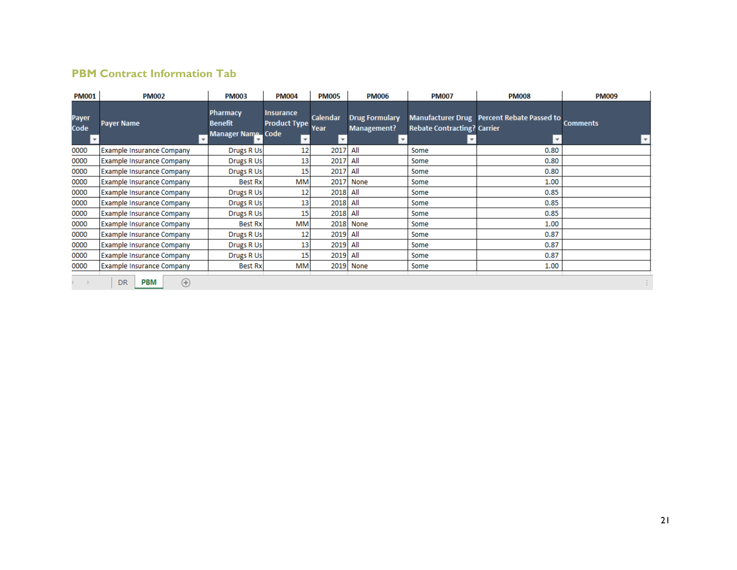## **PBM Contract Information Tab**

| <b>PM001</b>  | <b>PM002</b>                                  | <b>PM003</b>                                           | <b>PM004</b>                                                   | <b>PM005</b> | <b>PM006</b>                                         | <b>PM007</b>                       | <b>PM008</b>                                      | <b>PM009</b>    |  |
|---------------|-----------------------------------------------|--------------------------------------------------------|----------------------------------------------------------------|--------------|------------------------------------------------------|------------------------------------|---------------------------------------------------|-----------------|--|
| Payer<br>Code | <b>Payer Name</b><br>$\overline{\phantom{a}}$ | <b>Pharmacy</b><br><b>Benefit</b><br>Manager Name Code | <b>Insurance</b><br><b>Calendar</b><br>Product Type Year<br>v. |              | <b>Drug Formulary</b><br>Management?<br>$\mathbf{v}$ | <b>Rebate Contracting? Carrier</b> | Manufacturer Drug   Percent Rebate Passed to<br>v | <b>Comments</b> |  |
| 0000          | <b>Example Insurance Company</b>              | Drugs R Us                                             | 12                                                             | 2017         | All                                                  | Some                               | 0.80                                              |                 |  |
| 0000          | <b>Example Insurance Company</b>              | Drugs R Us                                             | 13                                                             | 2017         | All<br>Some                                          |                                    | 0.80                                              |                 |  |
| 0000          | <b>Example Insurance Company</b>              | Drugs R Us                                             | 15                                                             | 2017         | All                                                  | Some                               | 0.80                                              |                 |  |
| 0000          | <b>Example Insurance Company</b>              | <b>Best Rx</b>                                         | MM                                                             | 2017         | None                                                 | Some                               | 1.00                                              |                 |  |
| 0000          | <b>Example Insurance Company</b>              | Drugs R Us                                             | 12                                                             | 2018         | All                                                  | Some                               | 0.85                                              |                 |  |
| 0000          | <b>Example Insurance Company</b>              | Drugs R Us                                             | 13                                                             | 2018         | All                                                  | Some                               | 0.85                                              |                 |  |
| 0000          | <b>Example Insurance Company</b>              | Drugs R Us                                             | 15                                                             | 2018 All     |                                                      | Some                               | 0.85                                              |                 |  |
| 0000          | Example Insurance Company                     | <b>Best Rx</b>                                         | MM                                                             | 2018         | None                                                 | Some                               | 1.00                                              |                 |  |
| 0000          | <b>Example Insurance Company</b>              | Drugs R Us                                             | 12                                                             | 2019         | All                                                  | Some                               | 0.87                                              |                 |  |
| 0000          | Example Insurance Company                     | Drugs R Us                                             | 13                                                             | 2019         | All                                                  | Some                               | 0.87                                              |                 |  |
| 0000          | Example Insurance Company                     | Drugs R Us                                             | 15                                                             | 2019         | All                                                  | Some                               | 0.87                                              |                 |  |
| 0000          | Example Insurance Company                     | Best Rx                                                | <b>MM</b>                                                      |              | 2019 None                                            | Some                               | 1.00                                              |                 |  |
|               | <b>PBM</b><br><b>DR</b><br>$\left( +\right)$  |                                                        |                                                                |              |                                                      |                                    |                                                   |                 |  |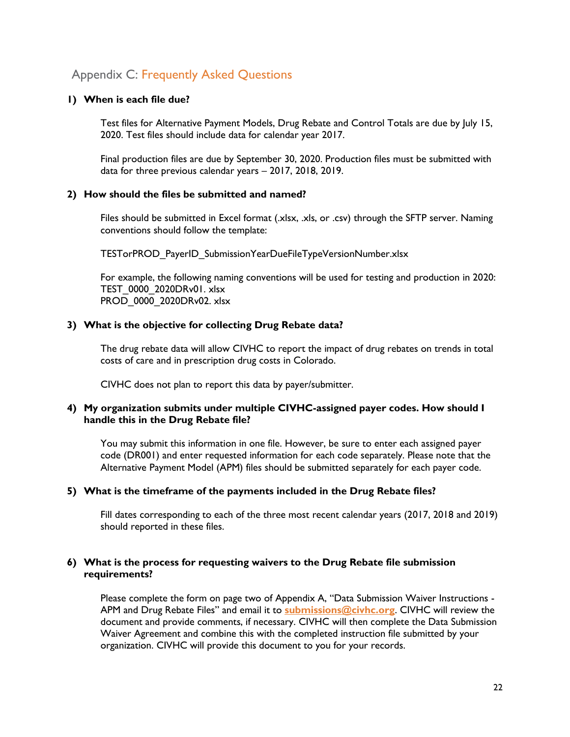## Appendix C: Frequently Asked Questions

#### **1) When is each file due?**

Test files for Alternative Payment Models, Drug Rebate and Control Totals are due by July 15, 2020. Test files should include data for calendar year 2017.

Final production files are due by September 30, 2020. Production files must be submitted with data for three previous calendar years – 2017, 2018, 2019.

#### **2) How should the files be submitted and named?**

Files should be submitted in Excel format (.xlsx, .xls, or .csv) through the SFTP server. Naming conventions should follow the template:

TESTorPROD\_PayerID\_SubmissionYearDueFileTypeVersionNumber.xlsx

For example, the following naming conventions will be used for testing and production in 2020: TEST\_0000\_2020DRv01. xlsx PROD\_0000\_2020DRv02. xlsx

#### **3) What is the objective for collecting Drug Rebate data?**

The drug rebate data will allow CIVHC to report the impact of drug rebates on trends in total costs of care and in prescription drug costs in Colorado.

CIVHC does not plan to report this data by payer/submitter.

#### **4) My organization submits under multiple CIVHC-assigned payer codes. How should I handle this in the Drug Rebate file?**

You may submit this information in one file. However, be sure to enter each assigned payer code (DR001) and enter requested information for each code separately. Please note that the Alternative Payment Model (APM) files should be submitted separately for each payer code.

#### **5) What is the timeframe of the payments included in the Drug Rebate files?**

Fill dates corresponding to each of the three most recent calendar years (2017, 2018 and 2019) should reported in these files.

#### **6) What is the process for requesting waivers to the Drug Rebate file submission requirements?**

Please complete the form on page two of Appendix A, "Data Submission Waiver Instructions - APM and Drug Rebate Files" and email it to **[submissions@civhc.org](mailto:submissions@civhc.org)**. CIVHC will review the document and provide comments, if necessary. CIVHC will then complete the Data Submission Waiver Agreement and combine this with the completed instruction file submitted by your organization. CIVHC will provide this document to you for your records.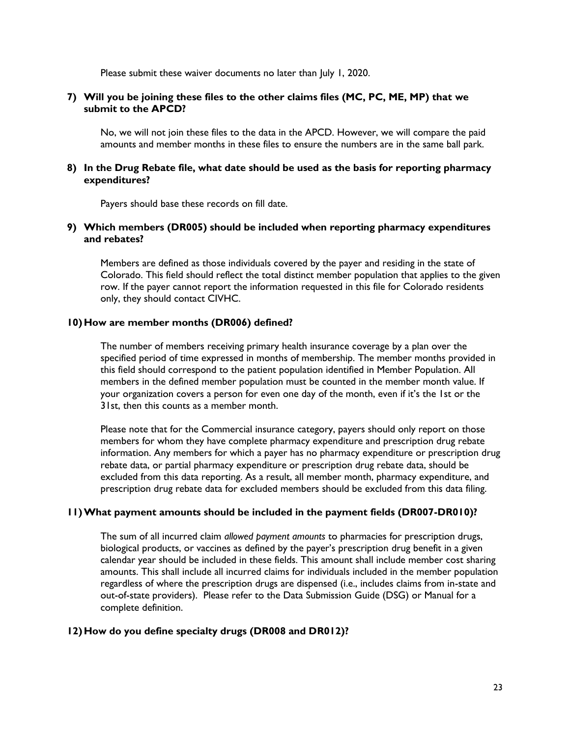Please submit these waiver documents no later than July 1, 2020.

#### **7) Will you be joining these files to the other claims files (MC, PC, ME, MP) that we submit to the APCD?**

No, we will not join these files to the data in the APCD. However, we will compare the paid amounts and member months in these files to ensure the numbers are in the same ball park.

#### **8) In the Drug Rebate file, what date should be used as the basis for reporting pharmacy expenditures?**

Payers should base these records on fill date.

#### **9) Which members (DR005) should be included when reporting pharmacy expenditures and rebates?**

Members are defined as those individuals covered by the payer and residing in the state of Colorado. This field should reflect the total distinct member population that applies to the given row. If the payer cannot report the information requested in this file for Colorado residents only, they should contact CIVHC.

#### **10)How are member months (DR006) defined?**

The number of members receiving primary health insurance coverage by a plan over the specified period of time expressed in months of membership. The member months provided in this field should correspond to the patient population identified in Member Population. All members in the defined member population must be counted in the member month value. If your organization covers a person for even one day of the month, even if it's the 1st or the 31st, then this counts as a member month.

Please note that for the Commercial insurance category, payers should only report on those members for whom they have complete pharmacy expenditure and prescription drug rebate information. Any members for which a payer has no pharmacy expenditure or prescription drug rebate data, or partial pharmacy expenditure or prescription drug rebate data, should be excluded from this data reporting. As a result, all member month, pharmacy expenditure, and prescription drug rebate data for excluded members should be excluded from this data filing.

#### **11)What payment amounts should be included in the payment fields (DR007-DR010)?**

The sum of all incurred claim *allowed payment amounts* to pharmacies for prescription drugs, biological products, or vaccines as defined by the payer's prescription drug benefit in a given calendar year should be included in these fields. This amount shall include member cost sharing amounts. This shall include all incurred claims for individuals included in the member population regardless of where the prescription drugs are dispensed (i.e., includes claims from in-state and out-of-state providers). Please refer to the Data Submission Guide (DSG) or Manual for a complete definition.

#### **12)How do you define specialty drugs (DR008 and DR012)?**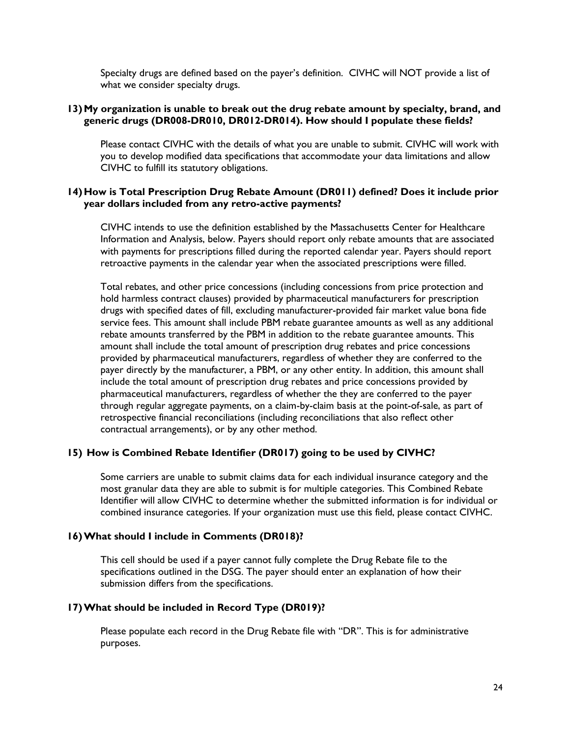Specialty drugs are defined based on the payer's definition. CIVHC will NOT provide a list of what we consider specialty drugs.

#### **13)My organization is unable to break out the drug rebate amount by specialty, brand, and generic drugs (DR008-DR010, DR012-DR014). How should I populate these fields?**

Please contact CIVHC with the details of what you are unable to submit. CIVHC will work with you to develop modified data specifications that accommodate your data limitations and allow CIVHC to fulfill its statutory obligations.

#### **14)How is Total Prescription Drug Rebate Amount (DR011) defined? Does it include prior year dollars included from any retro-active payments?**

CIVHC intends to use the definition established by the Massachusetts Center for Healthcare Information and Analysis, below. Payers should report only rebate amounts that are associated with payments for prescriptions filled during the reported calendar year. Payers should report retroactive payments in the calendar year when the associated prescriptions were filled.

Total rebates, and other price concessions (including concessions from price protection and hold harmless contract clauses) provided by pharmaceutical manufacturers for prescription drugs with specified dates of fill, excluding manufacturer-provided fair market value bona fide service fees. This amount shall include PBM rebate guarantee amounts as well as any additional rebate amounts transferred by the PBM in addition to the rebate guarantee amounts. This amount shall include the total amount of prescription drug rebates and price concessions provided by pharmaceutical manufacturers, regardless of whether they are conferred to the payer directly by the manufacturer, a PBM, or any other entity. In addition, this amount shall include the total amount of prescription drug rebates and price concessions provided by pharmaceutical manufacturers, regardless of whether the they are conferred to the payer through regular aggregate payments, on a claim-by-claim basis at the point-of-sale, as part of retrospective financial reconciliations (including reconciliations that also reflect other contractual arrangements), or by any other method.

#### **15) How is Combined Rebate Identifier (DR017) going to be used by CIVHC?**

Some carriers are unable to submit claims data for each individual insurance category and the most granular data they are able to submit is for multiple categories. This Combined Rebate Identifier will allow CIVHC to determine whether the submitted information is for individual or combined insurance categories. If your organization must use this field, please contact CIVHC.

#### **16)What should I include in Comments (DR018)?**

This cell should be used if a payer cannot fully complete the Drug Rebate file to the specifications outlined in the DSG. The payer should enter an explanation of how their submission differs from the specifications.

#### **17)What should be included in Record Type (DR019)?**

Please populate each record in the Drug Rebate file with "DR". This is for administrative purposes.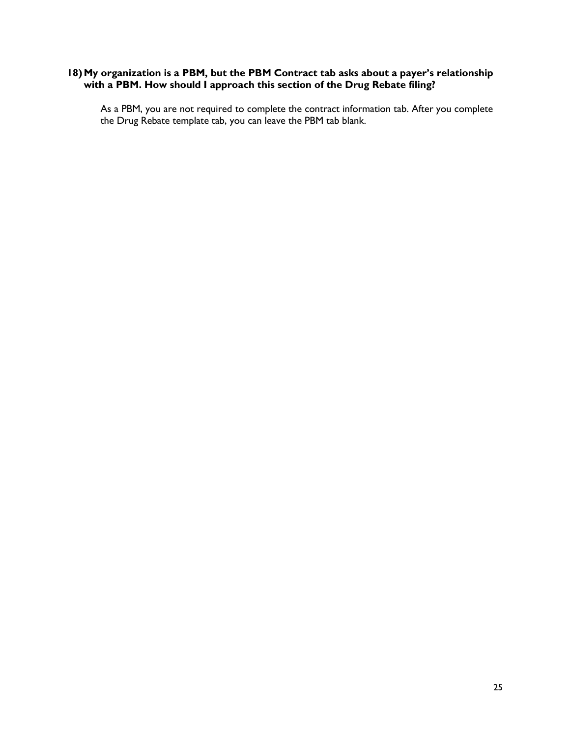#### **18)My organization is a PBM, but the PBM Contract tab asks about a payer's relationship with a PBM. How should I approach this section of the Drug Rebate filing?**

As a PBM, you are not required to complete the contract information tab. After you complete the Drug Rebate template tab, you can leave the PBM tab blank.